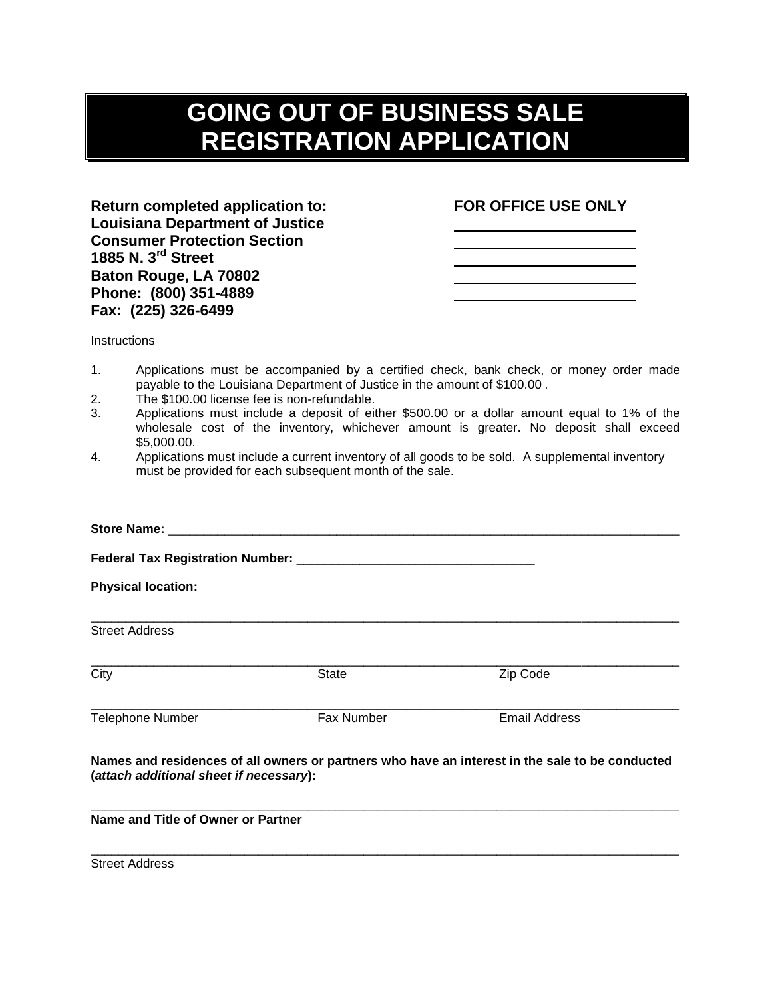## **GOING OUT OF BUSINESS SALE REGISTRATION APPLICATION**

**Return completed application to: FOR OFFICE USE ONLY Louisiana Department of Justice Consumer Protection Section 1885 N. 3rd Street Baton Rouge, LA 70802 Phone: (800) 351-4889 Fax: (225) 326-6499**

**Instructions** 

- 1. Applications must be accompanied by a certified check, bank check, or money order made payable to the Louisiana Department of Justice in the amount of \$100.00 .
- 2. The \$100.00 license fee is non-refundable.
- 3. Applications must include a deposit of either \$500.00 or a dollar amount equal to 1% of the wholesale cost of the inventory, whichever amount is greater. No deposit shall exceed \$5,000.00.
- 4. Applications must include a current inventory of all goods to be sold. A supplemental inventory must be provided for each subsequent month of the sale.

| <b>Physical location:</b>               |                   |                                                                                                 |  |                       |       |          |
|-----------------------------------------|-------------------|-------------------------------------------------------------------------------------------------|--|-----------------------|-------|----------|
|                                         |                   |                                                                                                 |  | <b>Street Address</b> |       |          |
|                                         |                   |                                                                                                 |  | City                  | State | Zip Code |
| <b>Telephone Number</b>                 | <b>Fax Number</b> | Email Address                                                                                   |  |                       |       |          |
| (attach additional sheet if necessary): |                   | Names and residences of all owners or partners who have an interest in the sale to be conducted |  |                       |       |          |
| Name and Title of Owner or Partner      |                   |                                                                                                 |  |                       |       |          |

\_\_\_\_\_\_\_\_\_\_\_\_\_\_\_\_\_\_\_\_\_\_\_\_\_\_\_\_\_\_\_\_\_\_\_\_\_\_\_\_\_\_\_\_\_\_\_\_\_\_\_\_\_\_\_\_\_\_\_\_\_\_\_\_\_\_\_\_\_\_\_\_\_\_\_\_\_\_\_\_\_\_\_\_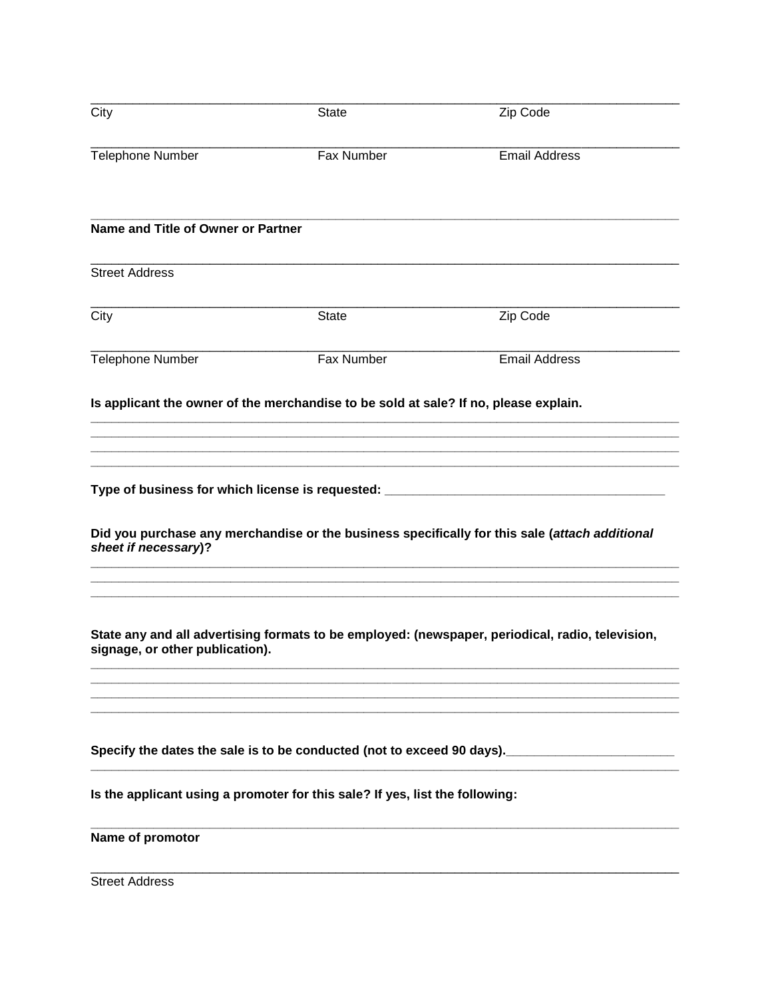| City                               | <b>State</b>                                                                         | Zip Code                                                                                                                                                                           |
|------------------------------------|--------------------------------------------------------------------------------------|------------------------------------------------------------------------------------------------------------------------------------------------------------------------------------|
| <b>Telephone Number</b>            | Fax Number                                                                           | <b>Email Address</b>                                                                                                                                                               |
| Name and Title of Owner or Partner |                                                                                      |                                                                                                                                                                                    |
| <b>Street Address</b>              |                                                                                      |                                                                                                                                                                                    |
| City                               | <b>State</b>                                                                         | Zip Code                                                                                                                                                                           |
| <b>Telephone Number</b>            | Fax Number                                                                           | <b>Email Address</b>                                                                                                                                                               |
|                                    | Is applicant the owner of the merchandise to be sold at sale? If no, please explain. |                                                                                                                                                                                    |
|                                    |                                                                                      |                                                                                                                                                                                    |
|                                    |                                                                                      |                                                                                                                                                                                    |
| sheet if necessary)?               |                                                                                      | Type of business for which license is requested: _______________________________<br>Did you purchase any merchandise or the business specifically for this sale (attach additional |
|                                    |                                                                                      | State any and all advertising formats to be employed: (newspaper, periodical, radio, television,                                                                                   |
| signage, or other publication).    |                                                                                      |                                                                                                                                                                                    |
|                                    |                                                                                      |                                                                                                                                                                                    |
|                                    |                                                                                      |                                                                                                                                                                                    |
|                                    |                                                                                      | Specify the dates the sale is to be conducted (not to exceed 90 days). <u>___________________</u>                                                                                  |
|                                    | Is the applicant using a promoter for this sale? If yes, list the following:         |                                                                                                                                                                                    |
| Name of promotor                   |                                                                                      |                                                                                                                                                                                    |
| <b>Street Address</b>              |                                                                                      |                                                                                                                                                                                    |